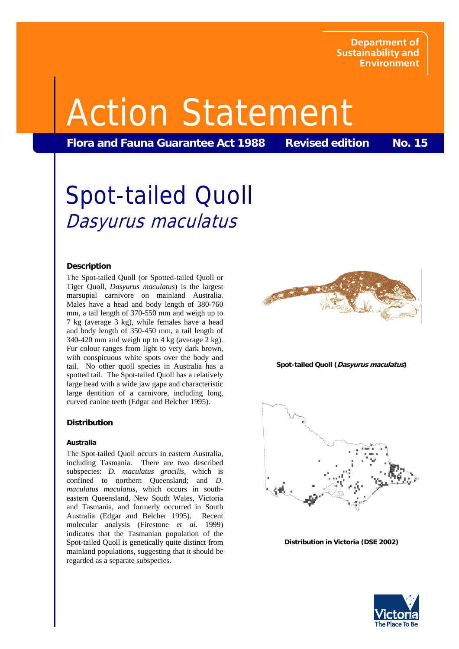**Department of Sustainability and Environment** 

# Action Statement

Flora and Fauna Guarantee Act 1988 Revised edition No. 15

# Spot-tailed Quoll Dasyurus maculatus

# **Description**

The Spot-tailed Quoll (or Spotted-tailed Quoll or Tiger Quoll, *Dasyurus maculatus*) is the largest marsupial carnivore on mainland Australia. Males have a head and body length of 380-760 mm, a tail length of 370-550 mm and weigh up to 7 kg (average 3 kg), while females have a head and body length of 350-450 mm, a tail length of 340-420 mm and weigh up to 4 kg (average 2 kg). Fur colour ranges from light to very dark brown, with conspicuous white spots over the body and tail. No other quoll species in Australia has a spotted tail. The Spot-tailed Quoll has a relatively large head with a wide jaw gape and characteristic large dentition of a carnivore, including long, curved canine teeth (Edgar and Belcher 1995).

# **Distribution**

# **Australia**

The Spot-tailed Quoll occurs in eastern Australia, including Tasmania. There are two described subspecies: *D. maculatus gracilis*, which is confined to northern Queensland; and *D. maculatus maculatus*, which occurs in southeastern Queensland, New South Wales, Victoria and Tasmania, and formerly occurred in South Australia (Edgar and Belcher 1995). Recent molecular analysis (Firestone *et al.* 1999) indicates that the Tasmanian population of the Spot-tailed Quoll is genetically quite distinct from mainland populations, suggesting that it should be regarded as a separate subspecies.



#### **Spot-tailed Quoll (Dasyurus maculatus)**



**Distribution in Victoria (DSE 2002)**

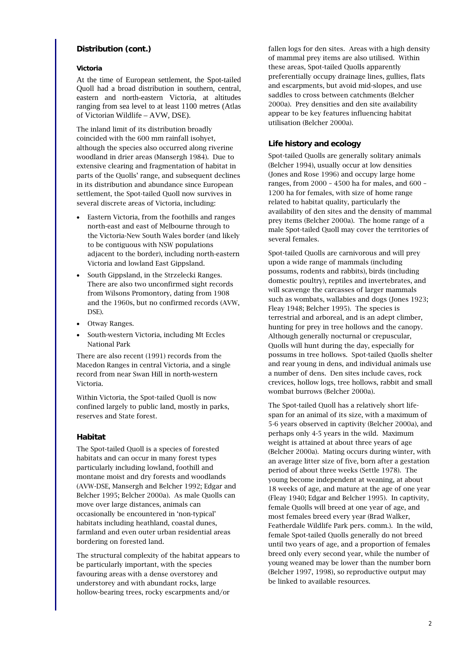# **Distribution (cont.)**

#### **Victoria**

At the time of European settlement, the Spot-tailed Quoll had a broad distribution in southern, central, eastern and north-eastern Victoria, at altitudes ranging from sea level to at least 1100 metres (Atlas of Victorian Wildlife – AVW, DSE).

The inland limit of its distribution broadly coincided with the 600 mm rainfall isohyet, although the species also occurred along riverine woodland in drier areas (Mansergh 1984). Due to extensive clearing and fragmentation of habitat in parts of the Quolls' range, and subsequent declines in its distribution and abundance since European settlement, the Spot-tailed Quoll now survives in several discrete areas of Victoria, including:

- Eastern Victoria, from the foothills and ranges north-east and east of Melbourne through to the Victoria-New South Wales border (and likely to be contiguous with NSW populations adjacent to the border), including north-eastern Victoria and lowland East Gippsland.
- South Gippsland, in the Strzelecki Ranges. There are also two unconfirmed sight records from Wilsons Promontory, dating from 1908 and the 1960s, but no confirmed records (AVW, DSE).
- Otway Ranges.
- South-western Victoria, including Mt Eccles National Park

There are also recent (1991) records from the Macedon Ranges in central Victoria, and a single record from near Swan Hill in north-western Victoria.

Within Victoria, the Spot-tailed Quoll is now confined largely to public land, mostly in parks, reserves and State forest.

# **Habitat**

The Spot-tailed Quoll is a species of forested habitats and can occur in many forest types particularly including lowland, foothill and montane moist and dry forests and woodlands (AVW-DSE, Mansergh and Belcher 1992; Edgar and Belcher 1995; Belcher 2000a). As male Quolls can move over large distances, animals can occasionally be encountered in 'non-typical' habitats including heathland, coastal dunes, farmland and even outer urban residential areas bordering on forested land.

The structural complexity of the habitat appears to be particularly important, with the species favouring areas with a dense overstorey and understorey and with abundant rocks, large hollow-bearing trees, rocky escarpments and/or

fallen logs for den sites. Areas with a high density of mammal prey items are also utilised. Within these areas, Spot-tailed Quolls apparently preferentially occupy drainage lines, gullies, flats and escarpments, but avoid mid-slopes, and use saddles to cross between catchments (Belcher 2000a). Prey densities and den site availability appear to be key features influencing habitat utilisation (Belcher 2000a).

# **Life history and ecology**

Spot-tailed Quolls are generally solitary animals (Belcher 1994), usually occur at low densities (Jones and Rose 1996) and occupy large home ranges, from 2000 – 4500 ha for males, and 600 – 1200 ha for females, with size of home range related to habitat quality, particularly the availability of den sites and the density of mammal prey items (Belcher 2000a). The home range of a male Spot-tailed Quoll may cover the territories of several females.

Spot-tailed Quolls are carnivorous and will prey upon a wide range of mammals (including possums, rodents and rabbits), birds (including domestic poultry), reptiles and invertebrates, and will scavenge the carcasses of larger mammals such as wombats, wallabies and dogs (Jones 1923; Fleay 1948; Belcher 1995). The species is terrestrial and arboreal, and is an adept climber, hunting for prey in tree hollows and the canopy. Although generally nocturnal or crepuscular, Quolls will hunt during the day, especially for possums in tree hollows. Spot-tailed Quolls shelter and rear young in dens, and individual animals use a number of dens. Den sites include caves, rock crevices, hollow logs, tree hollows, rabbit and small wombat burrows (Belcher 2000a).

The Spot-tailed Quoll has a relatively short lifespan for an animal of its size, with a maximum of 5-6 years observed in captivity (Belcher 2000a), and perhaps only 4-5 years in the wild. Maximum weight is attained at about three years of age (Belcher 2000a). Mating occurs during winter, with an average litter size of five, born after a gestation period of about three weeks (Settle 1978). The young become independent at weaning, at about 18 weeks of age, and mature at the age of one year (Fleay 1940; Edgar and Belcher 1995). In captivity, female Quolls will breed at one year of age, and most females breed every year (Brad Walker, Featherdale Wildlife Park pers. comm.). In the wild, female Spot-tailed Quolls generally do not breed until two years of age, and a proportion of females breed only every second year, while the number of young weaned may be lower than the number born (Belcher 1997, 1998), so reproductive output may be linked to available resources.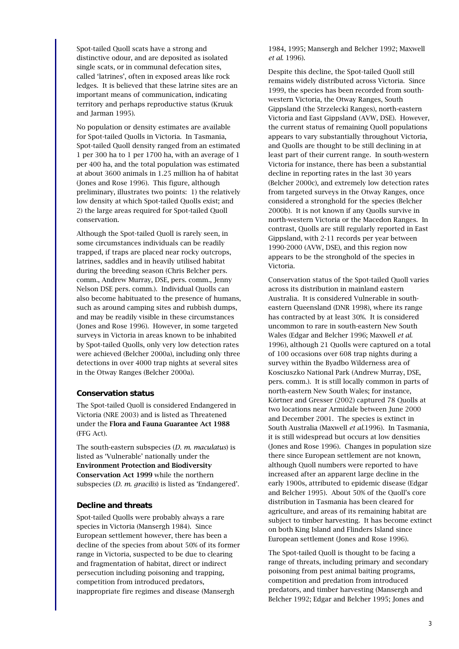Spot-tailed Quoll scats have a strong and distinctive odour, and are deposited as isolated single scats, or in communal defecation sites, called 'latrines', often in exposed areas like rock ledges. It is believed that these latrine sites are an important means of communication, indicating territory and perhaps reproductive status (Kruuk and Jarman 1995).

No population or density estimates are available for Spot-tailed Quolls in Victoria. In Tasmania, Spot-tailed Quoll density ranged from an estimated 1 per 300 ha to 1 per 1700 ha, with an average of 1 per 400 ha, and the total population was estimated at about 3600 animals in 1.25 million ha of habitat (Jones and Rose 1996). This figure, although preliminary, illustrates two points: 1) the relatively low density at which Spot-tailed Quolls exist; and 2) the large areas required for Spot-tailed Quoll conservation.

Although the Spot-tailed Quoll is rarely seen, in some circumstances individuals can be readily trapped, if traps are placed near rocky outcrops, latrines, saddles and in heavily utilised habitat during the breeding season (Chris Belcher pers. comm., Andrew Murray, DSE, pers. comm., Jenny Nelson DSE pers. comm.). Individual Quolls can also become habituated to the presence of humans, such as around camping sites and rubbish dumps, and may be readily visible in these circumstances (Jones and Rose 1996). However, in some targeted surveys in Victoria in areas known to be inhabited by Spot-tailed Quolls, only very low detection rates were achieved (Belcher 2000a), including only three detections in over 4000 trap nights at several sites in the Otway Ranges (Belcher 2000a).

# **Conservation status**

The Spot-tailed Quoll is considered Endangered in Victoria (NRE 2003) and is listed as Threatened under the Flora and Fauna Guarantee Act 1988 (FFG Act).

The south-eastern subspecies (*D. m. maculatus*) is listed as 'Vulnerable' nationally under the Environment Protection and Biodiversity Conservation Act 1999 while the northern subspecies (*D. m. gracilis*) is listed as 'Endangered'.

#### **Decline and threats**

Spot-tailed Quolls were probably always a rare species in Victoria (Mansergh 1984). Since European settlement however, there has been a decline of the species from about 50% of its former range in Victoria, suspected to be due to clearing and fragmentation of habitat, direct or indirect persecution including poisoning and trapping, competition from introduced predators, inappropriate fire regimes and disease (Mansergh

1984, 1995; Mansergh and Belcher 1992; Maxwell *et al*. 1996).

Despite this decline, the Spot-tailed Quoll still remains widely distributed across Victoria. Since 1999, the species has been recorded from southwestern Victoria, the Otway Ranges, South Gippsland (the Strzelecki Ranges), north-eastern Victoria and East Gippsland (AVW, DSE). However, the current status of remaining Quoll populations appears to vary substantially throughout Victoria, and Quolls are thought to be still declining in at least part of their current range. In south-western Victoria for instance, there has been a substantial decline in reporting rates in the last 30 years (Belcher 2000c), and extremely low detection rates from targeted surveys in the Otway Ranges, once considered a stronghold for the species (Belcher 2000b). It is not known if any Quolls survive in north-western Victoria or the Macedon Ranges. In contrast, Quolls are still regularly reported in East Gippsland, with 2-11 records per year between 1990-2000 (AVW, DSE), and this region now appears to be the stronghold of the species in Victoria.

Conservation status of the Spot-tailed Quoll varies across its distribution in mainland eastern Australia. It is considered Vulnerable in southeastern Queensland (DNR 1998), where its range has contracted by at least 30%. It is considered uncommon to rare in south-eastern New South Wales (Edgar and Belcher 1996; Maxwell *et al.* 1996), although 21 Quolls were captured on a total of 100 occasions over 608 trap nights during a survey within the Byadbo Wilderness area of Kosciuszko National Park (Andrew Murray, DSE, pers. comm.). It is still locally common in parts of north-eastern New South Wales; for instance, Körtner and Gresser (2002) captured 78 Quolls at two locations near Armidale between June 2000 and December 2001. The species is extinct in South Australia (Maxwell *et al.*1996). In Tasmania, it is still widespread but occurs at low densities (Jones and Rose 1996). Changes in population size there since European settlement are not known, although Quoll numbers were reported to have increased after an apparent large decline in the early 1900s, attributed to epidemic disease (Edgar and Belcher 1995). About 50% of the Quoll's core distribution in Tasmania has been cleared for agriculture, and areas of its remaining habitat are subject to timber harvesting. It has become extinct on both King Island and Flinders Island since European settlement (Jones and Rose 1996).

The Spot-tailed Quoll is thought to be facing a range of threats, including primary and secondary poisoning from pest animal baiting programs, competition and predation from introduced predators, and timber harvesting (Mansergh and Belcher 1992; Edgar and Belcher 1995; Jones and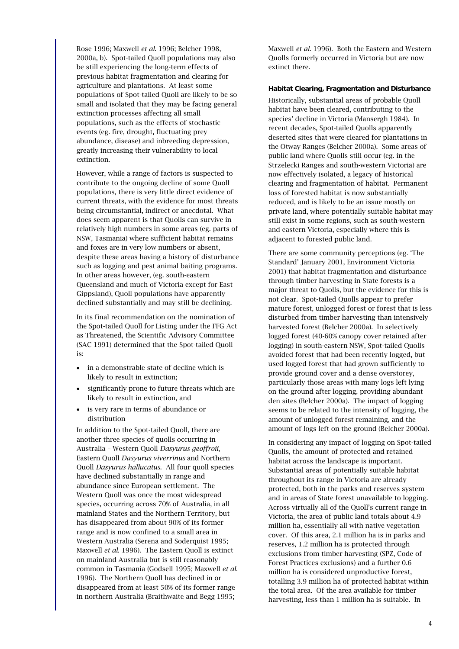Rose 1996; Maxwell *et al*. 1996; Belcher 1998, 2000a, b). Spot-tailed Quoll populations may also be still experiencing the long-term effects of previous habitat fragmentation and clearing for agriculture and plantations. At least some populations of Spot-tailed Quoll are likely to be so small and isolated that they may be facing general extinction processes affecting all small populations, such as the effects of stochastic events (eg. fire, drought, fluctuating prey abundance, disease) and inbreeding depression, greatly increasing their vulnerability to local extinction.

However, while a range of factors is suspected to contribute to the ongoing decline of some Quoll populations, there is very little direct evidence of current threats, with the evidence for most threats being circumstantial, indirect or anecdotal. What does seem apparent is that Quolls can survive in relatively high numbers in some areas (eg. parts of NSW, Tasmania) where sufficient habitat remains and foxes are in very low numbers or absent, despite these areas having a history of disturbance such as logging and pest animal baiting programs. In other areas however, (eg. south-eastern Queensland and much of Victoria except for East Gippsland), Quoll populations have apparently declined substantially and may still be declining.

In its final recommendation on the nomination of the Spot-tailed Quoll for Listing under the FFG Act as Threatened, the Scientific Advisory Committee (SAC 1991) determined that the Spot-tailed Quoll is:

- in a demonstrable state of decline which is likely to result in extinction;
- significantly prone to future threats which are likely to result in extinction, and
- is very rare in terms of abundance or distribution

In addition to the Spot-tailed Quoll, there are another three species of quolls occurring in Australia – Western Quoll *Dasyurus geoffroii*, Eastern Quoll *Dasyurus viverrinus* and Northern Quoll *Dasyurus hallucatus*. All four quoll species have declined substantially in range and abundance since European settlement. The Western Quoll was once the most widespread species, occurring across 70% of Australia, in all mainland States and the Northern Territory, but has disappeared from about 90% of its former range and is now confined to a small area in Western Australia (Serena and Soderquist 1995; Maxwell *et al.* 1996). The Eastern Quoll is extinct on mainland Australia but is still reasonably common in Tasmania (Godsell 1995; Maxwell *et al.* 1996). The Northern Quoll has declined in or disappeared from at least 50% of its former range in northern Australia (Braithwaite and Begg 1995;

Maxwell *et al.* 1996). Both the Eastern and Western Quolls formerly occurred in Victoria but are now extinct there.

#### **Habitat Clearing, Fragmentation and Disturbance**

Historically, substantial areas of probable Quoll habitat have been cleared, contributing to the species' decline in Victoria (Mansergh 1984). In recent decades, Spot-tailed Quolls apparently deserted sites that were cleared for plantations in the Otway Ranges (Belcher 2000a). Some areas of public land where Quolls still occur (eg. in the Strzelecki Ranges and south-western Victoria) are now effectively isolated, a legacy of historical clearing and fragmentation of habitat. Permanent loss of forested habitat is now substantially reduced, and is likely to be an issue mostly on private land, where potentially suitable habitat may still exist in some regions, such as south-western and eastern Victoria, especially where this is adjacent to forested public land.

There are some community perceptions (eg. 'The Standard' January 2001, Environment Victoria 2001) that habitat fragmentation and disturbance through timber harvesting in State forests is a major threat to Quolls, but the evidence for this is not clear. Spot-tailed Quolls appear to prefer mature forest, unlogged forest or forest that is less disturbed from timber harvesting than intensively harvested forest (Belcher 2000a). In selectively logged forest (40-60% canopy cover retained after logging) in south-eastern NSW, Spot-tailed Quolls avoided forest that had been recently logged, but used logged forest that had grown sufficiently to provide ground cover and a dense overstorey, particularly those areas with many logs left lying on the ground after logging, providing abundant den sites (Belcher 2000a). The impact of logging seems to be related to the intensity of logging, the amount of unlogged forest remaining, and the amount of logs left on the ground (Belcher 2000a).

In considering any impact of logging on Spot-tailed Quolls, the amount of protected and retained habitat across the landscape is important. Substantial areas of potentially suitable habitat throughout its range in Victoria are already protected, both in the parks and reserves system and in areas of State forest unavailable to logging. Across virtually all of the Quoll's current range in Victoria, the area of public land totals about 4.9 million ha, essentially all with native vegetation cover. Of this area, 2.1 million ha is in parks and reserves, 1.2 million ha is protected through exclusions from timber harvesting (SPZ, Code of Forest Practices exclusions) and a further 0.6 million ha is considered unproductive forest, totalling 3.9 million ha of protected habitat within the total area. Of the area available for timber harvesting, less than 1 million ha is suitable. In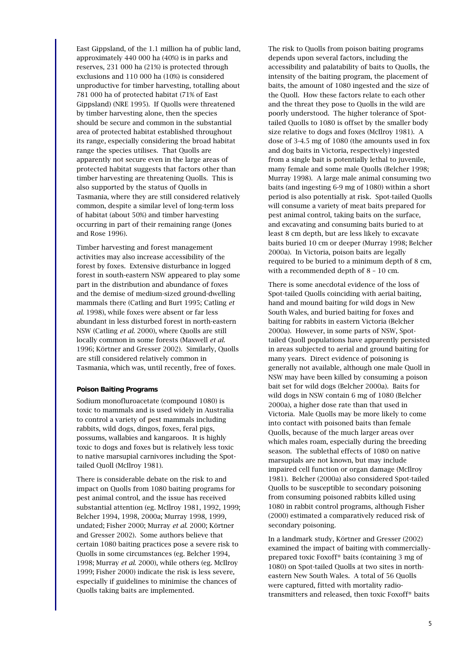East Gippsland, of the 1.1 million ha of public land, approximately 440 000 ha (40%) is in parks and reserves, 231 000 ha (21%) is protected through exclusions and 110 000 ha (10%) is considered unproductive for timber harvesting, totalling about 781 000 ha of protected habitat (71% of East Gippsland) (NRE 1995). If Quolls were threatened by timber harvesting alone, then the species should be secure and common in the substantial area of protected habitat established throughout its range, especially considering the broad habitat range the species utilises. That Quolls are apparently not secure even in the large areas of protected habitat suggests that factors other than timber harvesting are threatening Quolls. This is also supported by the status of Quolls in Tasmania, where they are still considered relatively common, despite a similar level of long-term loss of habitat (about 50%) and timber harvesting occurring in part of their remaining range (Jones and Rose 1996).

Timber harvesting and forest management activities may also increase accessibility of the forest by foxes. Extensive disturbance in logged forest in south-eastern NSW appeared to play some part in the distribution and abundance of foxes and the demise of medium-sized ground-dwelling mammals there (Catling and Burt 1995; Catling *et al*. 1998), while foxes were absent or far less abundant in less disturbed forest in north-eastern NSW (Catling *et al.* 2000), where Quolls are still locally common in some forests (Maxwell *et al.* 1996; Körtner and Gresser 2002). Similarly, Quolls are still considered relatively common in Tasmania, which was, until recently, free of foxes.

#### **Poison Baiting Programs**

Sodium monofluroacetate (compound 1080) is toxic to mammals and is used widely in Australia to control a variety of pest mammals including rabbits, wild dogs, dingos, foxes, feral pigs, possums, wallabies and kangaroos. It is highly toxic to dogs and foxes but is relatively less toxic to native marsupial carnivores including the Spottailed Quoll (McIlroy 1981).

There is considerable debate on the risk to and impact on Quolls from 1080 baiting programs for pest animal control, and the issue has received substantial attention (eg. McIlroy 1981, 1992, 1999; Belcher 1994, 1998, 2000a; Murray 1998, 1999, undated; Fisher 2000; Murray *et al*. 2000; Körtner and Gresser 2002). Some authors believe that certain 1080 baiting practices pose a severe risk to Quolls in some circumstances (eg. Belcher 1994, 1998; Murray *et al*. 2000), while others (eg. McIlroy 1999; Fisher 2000) indicate the risk is less severe, especially if guidelines to minimise the chances of Quolls taking baits are implemented.

The risk to Quolls from poison baiting programs depends upon several factors, including the accessibility and palatability of baits to Quolls, the intensity of the baiting program, the placement of baits, the amount of 1080 ingested and the size of the Quoll. How these factors relate to each other and the threat they pose to Quolls in the wild are poorly understood. The higher tolerance of Spottailed Quolls to 1080 is offset by the smaller body size relative to dogs and foxes (McIlroy 1981). A dose of 3-4.5 mg of 1080 (the amounts used in fox and dog baits in Victoria, respectively) ingested from a single bait is potentially lethal to juvenile, many female and some male Quolls (Belcher 1998; Murray 1998). A large male animal consuming two baits (and ingesting 6-9 mg of 1080) within a short period is also potentially at risk. Spot-tailed Quolls will consume a variety of meat baits prepared for pest animal control, taking baits on the surface, and excavating and consuming baits buried to at least 8 cm depth, but are less likely to excavate baits buried 10 cm or deeper (Murray 1998; Belcher 2000a). In Victoria, poison baits are legally required to be buried to a minimum depth of 8 cm, with a recommended depth of 8 – 10 cm.

There is some anecdotal evidence of the loss of Spot-tailed Quolls coinciding with aerial baiting, hand and mound baiting for wild dogs in New South Wales, and buried baiting for foxes and baiting for rabbits in eastern Victoria (Belcher 2000a). However, in some parts of NSW, Spottailed Quoll populations have apparently persisted in areas subjected to aerial and ground baiting for many years. Direct evidence of poisoning is generally not available, although one male Quoll in NSW may have been killed by consuming a poison bait set for wild dogs (Belcher 2000a). Baits for wild dogs in NSW contain 6 mg of 1080 (Belcher 2000a), a higher dose rate than that used in Victoria. Male Quolls may be more likely to come into contact with poisoned baits than female Quolls, because of the much larger areas over which males roam, especially during the breeding season. The sublethal effects of 1080 on native marsupials are not known, but may include impaired cell function or organ damage (McIlroy 1981). Belcher (2000a) also considered Spot-tailed Quolls to be susceptible to secondary poisoning from consuming poisoned rabbits killed using 1080 in rabbit control programs, although Fisher (2000) estimated a comparatively reduced risk of secondary poisoning.

In a landmark study, Körtner and Gresser (2002) examined the impact of baiting with commerciallyprepared toxic Foxoff® baits (containing 3 mg of 1080) on Spot-tailed Quolls at two sites in northeastern New South Wales. A total of 56 Quolls were captured, fitted with mortality radiotransmitters and released, then toxic Foxoff® baits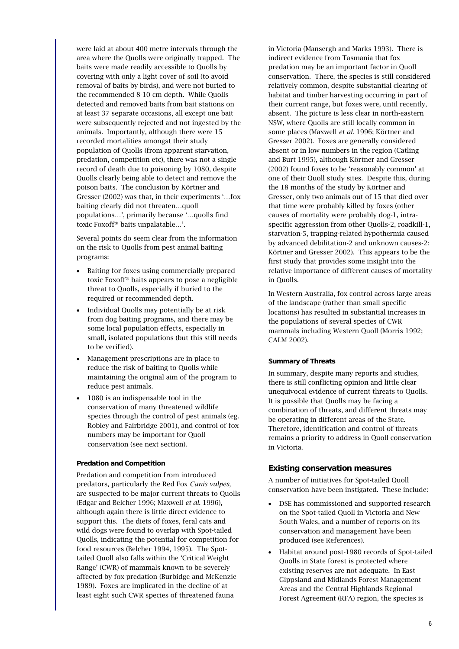were laid at about 400 metre intervals through the area where the Quolls were originally trapped. The baits were made readily accessible to Quolls by covering with only a light cover of soil (to avoid removal of baits by birds), and were not buried to the recommended 8-10 cm depth. While Quolls detected and removed baits from bait stations on at least 37 separate occasions, all except one bait were subsequently rejected and not ingested by the animals. Importantly, although there were 15 recorded mortalities amongst their study population of Quolls (from apparent starvation, predation, competition etc), there was not a single record of death due to poisoning by 1080, despite Quolls clearly being able to detect and remove the poison baits. The conclusion by Körtner and Gresser (2002) was that, in their experiments '…fox baiting clearly did not threaten…quoll populations…', primarily because '…quolls find toxic Foxoff® baits unpalatable…'.

Several points do seem clear from the information on the risk to Quolls from pest animal baiting programs:

- Baiting for foxes using commercially-prepared toxic Foxoff® baits appears to pose a negligible threat to Quolls, especially if buried to the required or recommended depth.
- Individual Quolls may potentially be at risk from dog baiting programs, and there may be some local population effects, especially in small, isolated populations (but this still needs to be verified).
- Management prescriptions are in place to reduce the risk of baiting to Quolls while maintaining the original aim of the program to reduce pest animals.
- 1080 is an indispensable tool in the conservation of many threatened wildlife species through the control of pest animals (eg. Robley and Fairbridge 2001), and control of fox numbers may be important for Quoll conservation (see next section).

#### **Predation and Competition**

Predation and competition from introduced predators, particularly the Red Fox *Canis vulpes*, are suspected to be major current threats to Quolls (Edgar and Belcher 1996; Maxwell *et al*. 1996), although again there is little direct evidence to support this. The diets of foxes, feral cats and wild dogs were found to overlap with Spot-tailed Quolls, indicating the potential for competition for food resources (Belcher 1994, 1995). The Spottailed Quoll also falls within the 'Critical Weight Range' (CWR) of mammals known to be severely affected by fox predation (Burbidge and McKenzie 1989). Foxes are implicated in the decline of at least eight such CWR species of threatened fauna

in Victoria (Mansergh and Marks 1993). There is indirect evidence from Tasmania that fox predation may be an important factor in Quoll conservation. There, the species is still considered relatively common, despite substantial clearing of habitat and timber harvesting occurring in part of their current range, but foxes were, until recently, absent. The picture is less clear in north-eastern NSW, where Quolls are still locally common in some places (Maxwell *et al*. 1996; Körtner and Gresser 2002). Foxes are generally considered absent or in low numbers in the region (Catling and Burt 1995), although Körtner and Gresser (2002) found foxes to be 'reasonably common' at one of their Quoll study sites. Despite this, during the 18 months of the study by Körtner and Gresser, only two animals out of 15 that died over that time were probably killed by foxes (other causes of mortality were probably dog-1, intraspecific aggression from other Quolls-2, roadkill-1, starvation-5, trapping-related hypothermia caused by advanced debilitation-2 and unknown causes-2: Körtner and Gresser 2002). This appears to be the first study that provides some insight into the relative importance of different causes of mortality in Quolls.

In Western Australia, fox control across large areas of the landscape (rather than small specific locations) has resulted in substantial increases in the populations of several species of CWR mammals including Western Quoll (Morris 1992; CALM 2002).

#### **Summary of Threats**

In summary, despite many reports and studies, there is still conflicting opinion and little clear unequivocal evidence of current threats to Quolls. It is possible that Quolls may be facing a combination of threats, and different threats may be operating in different areas of the State. Therefore, identification and control of threats remains a priority to address in Quoll conservation in Victoria.

#### **Existing conservation measures**

A number of initiatives for Spot-tailed Quoll conservation have been instigated. These include:

- DSE has commissioned and supported research on the Spot-tailed Quoll in Victoria and New South Wales, and a number of reports on its conservation and management have been produced (see References).
- Habitat around post-1980 records of Spot-tailed Quolls in State forest is protected where existing reserves are not adequate. In East Gippsland and Midlands Forest Management Areas and the Central Highlands Regional Forest Agreement (RFA) region, the species is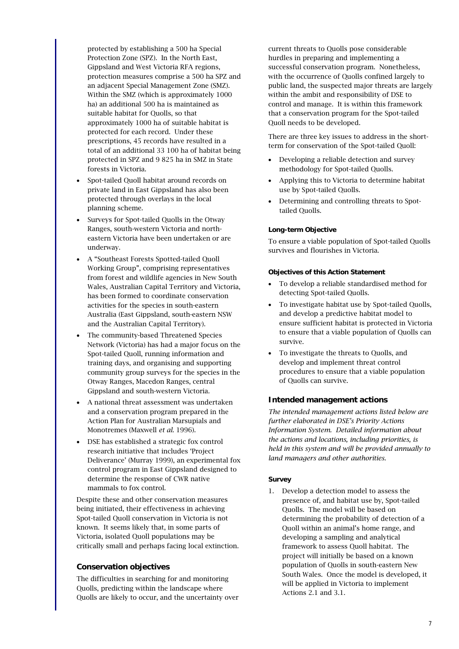protected by establishing a 500 ha Special Protection Zone (SPZ). In the North East, Gippsland and West Victoria RFA regions, protection measures comprise a 500 ha SPZ and an adjacent Special Management Zone (SMZ). Within the SMZ (which is approximately 1000 ha) an additional 500 ha is maintained as suitable habitat for Quolls, so that approximately 1000 ha of suitable habitat is protected for each record. Under these prescriptions, 45 records have resulted in a total of an additional 33 100 ha of habitat being protected in SPZ and 9 825 ha in SMZ in State forests in Victoria.

- Spot-tailed Quoll habitat around records on private land in East Gippsland has also been protected through overlays in the local planning scheme.
- Surveys for Spot-tailed Quolls in the Otway Ranges, south-western Victoria and northeastern Victoria have been undertaken or are underway.
- A "Southeast Forests Spotted-tailed Quoll Working Group", comprising representatives from forest and wildlife agencies in New South Wales, Australian Capital Territory and Victoria, has been formed to coordinate conservation activities for the species in south-eastern Australia (East Gippsland, south-eastern NSW and the Australian Capital Territory).
- The community-based Threatened Species Network (Victoria) has had a major focus on the Spot-tailed Quoll, running information and training days, and organising and supporting community group surveys for the species in the Otway Ranges, Macedon Ranges, central Gippsland and south-western Victoria.
- A national threat assessment was undertaken and a conservation program prepared in the Action Plan for Australian Marsupials and Monotremes (Maxwell *et al.* 1996).
- DSE has established a strategic fox control research initiative that includes 'Project Deliverance' (Murray 1999), an experimental fox control program in East Gippsland designed to determine the response of CWR native mammals to fox control.

Despite these and other conservation measures being initiated, their effectiveness in achieving Spot-tailed Quoll conservation in Victoria is not known. It seems likely that, in some parts of Victoria, isolated Quoll populations may be critically small and perhaps facing local extinction.

# **Conservation objectives**

The difficulties in searching for and monitoring Quolls, predicting within the landscape where Quolls are likely to occur, and the uncertainty over current threats to Quolls pose considerable hurdles in preparing and implementing a successful conservation program. Nonetheless, with the occurrence of Quolls confined largely to public land, the suspected major threats are largely within the ambit and responsibility of DSE to control and manage. It is within this framework that a conservation program for the Spot-tailed Quoll needs to be developed.

There are three key issues to address in the shortterm for conservation of the Spot-tailed Quoll:

- Developing a reliable detection and survey methodology for Spot-tailed Quolls.
- Applying this to Victoria to determine habitat use by Spot-tailed Quolls.
- Determining and controlling threats to Spottailed Quolls.

# **Long-term Objective**

To ensure a viable population of Spot-tailed Quolls survives and flourishes in Victoria.

# **Objectives of this Action Statement**

- To develop a reliable standardised method for detecting Spot-tailed Quolls.
- To investigate habitat use by Spot-tailed Quolls, and develop a predictive habitat model to ensure sufficient habitat is protected in Victoria to ensure that a viable population of Quolls can survive.
- To investigate the threats to Quolls, and develop and implement threat control procedures to ensure that a viable population of Quolls can survive.

# **Intended management actions**

*The intended management actions listed below are further elaborated in DSE's Priority Actions Information System. Detailed information about the actions and locations, including priorities, is held in this system and will be provided annually to land managers and other authorities.*

# **Survey**

1. Develop a detection model to assess the presence of, and habitat use by, Spot-tailed Quolls. The model will be based on determining the probability of detection of a Quoll within an animal's home range, and developing a sampling and analytical framework to assess Quoll habitat. The project will initially be based on a known population of Quolls in south-eastern New South Wales. Once the model is developed, it will be applied in Victoria to implement Actions 2.1 and 3.1.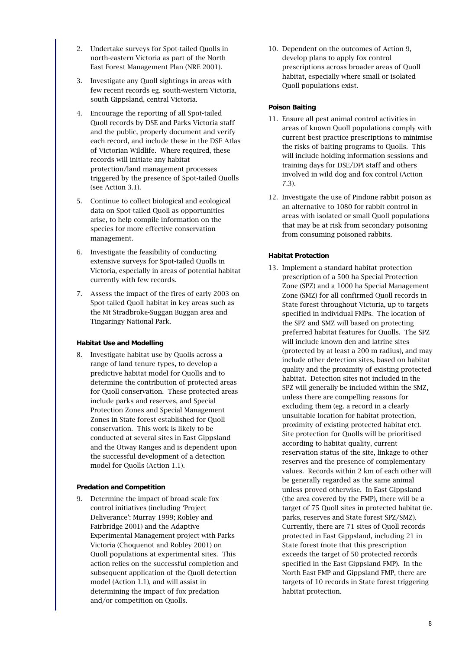- 2. Undertake surveys for Spot-tailed Quolls in north-eastern Victoria as part of the North East Forest Management Plan (NRE 2001).
- 3. Investigate any Quoll sightings in areas with few recent records eg. south-western Victoria, south Gippsland, central Victoria.
- 4. Encourage the reporting of all Spot-tailed Quoll records by DSE and Parks Victoria staff and the public, properly document and verify each record, and include these in the DSE Atlas of Victorian Wildlife. Where required, these records will initiate any habitat protection/land management processes triggered by the presence of Spot-tailed Quolls (see Action 3.1).
- 5. Continue to collect biological and ecological data on Spot-tailed Quoll as opportunities arise, to help compile information on the species for more effective conservation management.
- 6. Investigate the feasibility of conducting extensive surveys for Spot-tailed Quolls in Victoria, especially in areas of potential habitat currently with few records.
- 7. Assess the impact of the fires of early 2003 on Spot-tailed Quoll habitat in key areas such as the Mt Stradbroke-Suggan Buggan area and Tingaringy National Park.

# **Habitat Use and Modelling**

8. Investigate habitat use by Quolls across a range of land tenure types, to develop a predictive habitat model for Quolls and to determine the contribution of protected areas for Quoll conservation. These protected areas include parks and reserves, and Special Protection Zones and Special Management Zones in State forest established for Quoll conservation. This work is likely to be conducted at several sites in East Gippsland and the Otway Ranges and is dependent upon the successful development of a detection model for Quolls (Action 1.1).

#### **Predation and Competition**

9. Determine the impact of broad-scale fox control initiatives (including 'Project Deliverance': Murray 1999; Robley and Fairbridge 2001) and the Adaptive Experimental Management project with Parks Victoria (Choquenot and Robley 2001) on Quoll populations at experimental sites. This action relies on the successful completion and subsequent application of the Quoll detection model (Action 1.1), and will assist in determining the impact of fox predation and/or competition on Quolls.

10. Dependent on the outcomes of Action 9, develop plans to apply fox control prescriptions across broader areas of Quoll habitat, especially where small or isolated Quoll populations exist.

#### **Poison Baiting**

- 11. Ensure all pest animal control activities in areas of known Quoll populations comply with current best practice prescriptions to minimise the risks of baiting programs to Quolls. This will include holding information sessions and training days for DSE/DPI staff and others involved in wild dog and fox control (Action 7.3).
- 12. Investigate the use of Pindone rabbit poison as an alternative to 1080 for rabbit control in areas with isolated or small Quoll populations that may be at risk from secondary poisoning from consuming poisoned rabbits.

# **Habitat Protection**

13. Implement a standard habitat protection prescription of a 500 ha Special Protection Zone (SPZ) and a 1000 ha Special Management Zone (SMZ) for all confirmed Quoll records in State forest throughout Victoria, up to targets specified in individual FMPs. The location of the SPZ and SMZ will based on protecting preferred habitat features for Quolls. The SPZ will include known den and latrine sites (protected by at least a 200 m radius), and may include other detection sites, based on habitat quality and the proximity of existing protected habitat. Detection sites not included in the SPZ will generally be included within the SMZ, unless there are compelling reasons for excluding them (eg. a record in a clearly unsuitable location for habitat protection, proximity of existing protected habitat etc). Site protection for Quolls will be prioritised according to habitat quality, current reservation status of the site, linkage to other reserves and the presence of complementary values. Records within 2 km of each other will be generally regarded as the same animal unless proved otherwise. In East Gippsland (the area covered by the FMP), there will be a target of 75 Quoll sites in protected habitat (ie. parks, reserves and State forest SPZ/SMZ). Currently, there are 71 sites of Quoll records protected in East Gippsland, including 21 in State forest (note that this prescription exceeds the target of 50 protected records specified in the East Gippsland FMP). In the North East FMP and Gippsland FMP, there are targets of 10 records in State forest triggering habitat protection.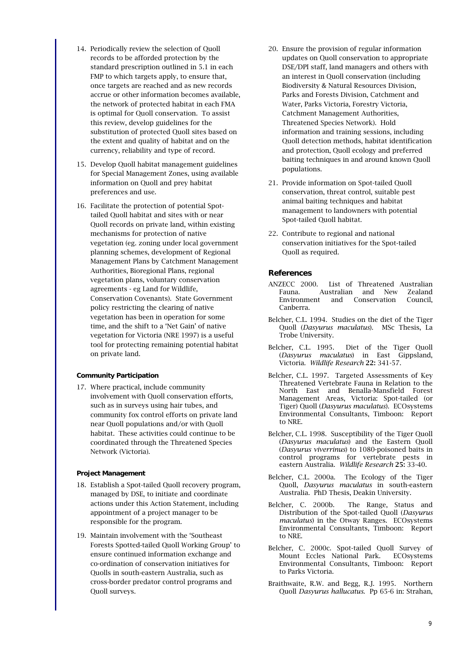- 14. Periodically review the selection of Quoll records to be afforded protection by the standard prescription outlined in 5.1 in each FMP to which targets apply, to ensure that. once targets are reached and as new records accrue or other information becomes available, the network of protected habitat in each FMA is optimal for Quoll conservation. To assist this review, develop guidelines for the substitution of protected Quoll sites based on the extent and quality of habitat and on the currency, reliability and type of record.
- 15. Develop Quoll habitat management guidelines for Special Management Zones, using available information on Quoll and prey habitat preferences and use.
- 16. Facilitate the protection of potential Spottailed Quoll habitat and sites with or near Quoll records on private land, within existing mechanisms for protection of native vegetation (eg. zoning under local government planning schemes, development of Regional Management Plans by Catchment Management Authorities, Bioregional Plans, regional vegetation plans, voluntary conservation agreements - eg Land for Wildlife, Conservation Covenants). State Government policy restricting the clearing of native vegetation has been in operation for some time, and the shift to a 'Net Gain' of native vegetation for Victoria (NRE 1997) is a useful tool for protecting remaining potential habitat on private land.

#### **Community Participation**

17. Where practical, include community involvement with Quoll conservation efforts, such as in surveys using hair tubes, and community fox control efforts on private land near Quoll populations and/or with Quoll habitat. These activities could continue to be coordinated through the Threatened Species Network (Victoria).

#### **Project Management**

- 18. Establish a Spot-tailed Quoll recovery program, managed by DSE, to initiate and coordinate actions under this Action Statement, including appointment of a project manager to be responsible for the program.
- 19. Maintain involvement with the 'Southeast Forests Spotted-tailed Quoll Working Group' to ensure continued information exchange and co-ordination of conservation initiatives for Quolls in south-eastern Australia, such as cross-border predator control programs and Quoll surveys.
- 20. Ensure the provision of regular information updates on Quoll conservation to appropriate DSE/DPI staff, land managers and others with an interest in Quoll conservation (including Biodiversity & Natural Resources Division, Parks and Forests Division, Catchment and Water, Parks Victoria, Forestry Victoria, Catchment Management Authorities, Threatened Species Network). Hold information and training sessions, including Quoll detection methods, habitat identification and protection, Quoll ecology and preferred baiting techniques in and around known Quoll populations.
- 21. Provide information on Spot-tailed Quoll conservation, threat control, suitable pest animal baiting techniques and habitat management to landowners with potential Spot-tailed Quoll habitat.
- 22. Contribute to regional and national conservation initiatives for the Spot-tailed Quoll as required.

# **References**

- ANZECC 2000. List of Threatened Australian Fauna. Australian and New Zealand Environment and Conservation Council, Canberra.
- Belcher, C.L. 1994. Studies on the diet of the Tiger Quoll (*Dasyurus maculatus*). MSc Thesis, La Trobe University.
- Belcher, C.L. 1995. Diet of the Tiger Quoll (*Dasyurus maculatus*) in East Gippsland, Victoria. *Wildlife Research* 22: 341-57.
- Belcher, C.L. 1997. Targeted Assessments of Key Threatened Vertebrate Fauna in Relation to the North East and Benalla-Mansfield Forest Management Areas, Victoria: Spot-tailed (or Tiger) Quoll (*Dasyurus maculatus*). ECOsystems Environmental Consultants, Timboon: Report to NRE.
- Belcher, C.L. 1998. Susceptibility of the Tiger Quoll (*Dasyurus maculatus*) and the Eastern Quoll (*Dasyurus viverrinus*) to 1080-poisoned baits in control programs for vertebrate pests in eastern Australia. *Wildlife Research* 25: 33-40.
- Belcher, C.L. 2000a. The Ecology of the Tiger Quoll, *Dasyurus maculatus* in south-eastern Australia. PhD Thesis, Deakin University.
- Belcher, C. 2000b. The Range, Status and Distribution of the Spot-tailed Quoll (*Dasyurus maculatus*) in the Otway Ranges. ECOsystems Environmental Consultants, Timboon: Report to NRE.
- Belcher, C. 2000c. Spot-tailed Quoll Survey of Mount Eccles National Park. ECOsystems Environmental Consultants, Timboon: Report to Parks Victoria.
- Braithwaite, R.W. and Begg, R.J. 1995. Northern Quoll *Dasyurus hallucatus*. Pp 65-6 in: Strahan,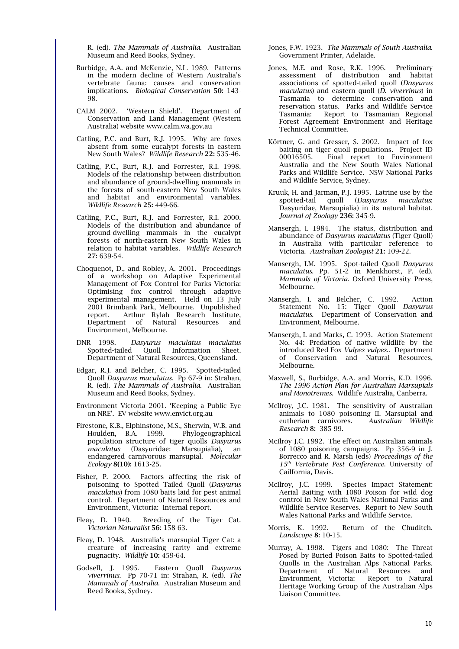R. (ed). *The Mammals of Australia*. Australian Museum and Reed Books, Sydney.

- Burbidge, A.A. and McKenzie, N.L. 1989. Patterns in the modern decline of Western Australia's vertebrate fauna: causes and conservation implications. *Biological Conservation* 50: 143- 98.
- CALM 2002. 'Western Shield'. Department of Conservation and Land Management (Western Australia) website www.calm.wa.gov.au
- Catling, P.C. and Burt, R.J. 1995. Why are foxes absent from some eucalypt forests in eastern New South Wales? *Wildlife Research* 22: 535-46.
- Catling, P.C., Burt, R.J. and Forrester, R.I. 1998. Models of the relationship between distribution and abundance of ground-dwelling mammals in the forests of south-eastern New South Wales and habitat and environmental variables. *Wildlife Research* 25: 449-66.
- Catling, P.C., Burt, R.J. and Forrester, R.I. 2000. Models of the distribution and abundance of ground-dwelling mammals in the eucalypt forests of north-eastern New South Wales in relation to habitat variables. *Wildlife Research* 27: 639-54.
- Choquenot, D., and Robley, A. 2001. Proceedings of a workshop on Adaptive Experimental Management of Fox Control for Parks Victoria: Optimising fox control through adaptive experimental management. Held on 13 July 2001 Brimbank Park, Melbourne. Unpublished report. Arthur Rylah Research Institute, Department of Natural Resources and Environment, Melbourne.
- DNR 1998. *Dasyurus maculatus maculatus* Spotted-tailed Quoll Information Sheet. Department of Natural Resources, Queensland.
- Edgar, R.J. and Belcher, C. 1995. Spotted-tailed Quoll *Dasyurus maculatus*. Pp 67-9 in: Strahan, R. (ed). *The Mammals of Australia*. Australian Museum and Reed Books, Sydney.
- Environment Victoria 2001. 'Keeping a Public Eye on NRE'. EV website www.envict.org.au
- Firestone, K.B., Elphinstone, M.S., Sherwin, W.B. and Houlden, B.A.  $1999$ . population structure of tiger quolls *Dasyurus maculatus* (Dasyuridae: Marsupialia), an endangered carnivorous marsupial. *Molecular Ecology* 8(10): 1613-25.
- Fisher, P. 2000. Factors affecting the risk of poisoning to Spotted Tailed Quoll (*Dasyurus maculatus*) from 1080 baits laid for pest animal control. Department of Natural Resources and Environment, Victoria: Internal report.
- Fleay, D. 1940. Breeding of the Tiger Cat. *Victorian Naturalist* 56: 158-63.
- Fleay, D. 1948. Australia's marsupial Tiger Cat: a creature of increasing rarity and extreme pugnacity. *Wildlife* 10: 459-64.
- Godsell, J. 1995. Eastern Quoll *Dasyurus viverrinus*. Pp 70-71 in: Strahan, R. (ed). *The Mammals of Australia*. Australian Museum and Reed Books, Sydney.
- Jones, F.W. 1923. *The Mammals of South Australia*. Government Printer, Adelaide.
- Jones, M.E. and Rose, R.K. 1996. Preliminary assessment of distribution and habitat associations of spotted-tailed quoll (*Dasyurus maculatus*) and eastern quoll (*D. viverrinus*) in Tasmania to determine conservation and reservation status. Parks and Wildlife Service Tasmania: Report to Tasmanian Regional Forest Agreement Environment and Heritage Technical Committee.
- Körtner, G. and Gresser, S. 2002. Impact of fox baiting on tiger quoll populations. Project ID 00016505. Final report to Environment Australia and the New South Wales National Parks and Wildlife Service. NSW National Parks and Wildlife Service, Sydney.
- Kruuk, H. and Jarman, P.J. 1995. Latrine use by the spotted-tail quoll (*Dasyurus maculatus*: Dasyuridae, Marsupialia) in its natural habitat. *Journal of Zoology* 236: 345-9.
- Mansergh, I. 1984. The status, distribution and abundance of *Dasyurus maculatus* (Tiger Quoll) in Australia with particular reference to Victoria. *Australian Zoologist* 21: 109-22.
- Mansergh, I.M. 1995. Spot-tailed Quoll *Dasyurus maculatus*. Pp. 51-2 in Menkhorst, P. (ed). *Mammals of Victoria*. Oxford University Press, Melbourne.
- Mansergh, I. and Belcher, C. 1992. Action Statement No. 15: Tiger Quoll *Dasyurus maculatus*. Department of Conservation and Environment, Melbourne.
- Mansergh, I. and Marks, C. 1993. Action Statement No. 44: Predation of native wildlife by the introduced Red Fox *Vulpes vulpes*.. Department of Conservation and Natural Resources, Melbourne.
- Maxwell, S., Burbidge, A.A. and Morris, K.D. 1996. *The 1996 Action Plan for Australian Marsupials and Monotremes*. Wildlife Australia, Canberra.
- McIlroy, J.C. 1981. The sensitivity of Australian animals to 1080 poisoning II. Marsupial and eutherian carnivores. *Australian Wildlife Research* 8: 385-99.
- McIlroy J.C. 1992. The effect on Australian animals of 1080 poisoning campaigns. Pp 356-9 in J. Borrecco and R. Marsh (eds) *Proceedings of the 15th Vertebrate Pest Conference*. University of Cailfornia, Davis.
- McIlroy, J.C. 1999. Species Impact Statement: Aerial Baiting with 1080 Poison for wild dog control in New South Wales National Parks and Wildlife Service Reserves. Report to New South Wales National Parks and Wildlife Service.
- Morris, K. 1992. Return of the Chuditch. *Landscope* 8: 10-15.
- Murray, A. 1998. Tigers and 1080: The Threat Posed by Buried Poison Baits to Spotted-tailed Quolls in the Australian Alps National Parks. Department of Natural Resources and Environment, Victoria: Report to Natural Heritage Working Group of the Australian Alps Liaison Committee.